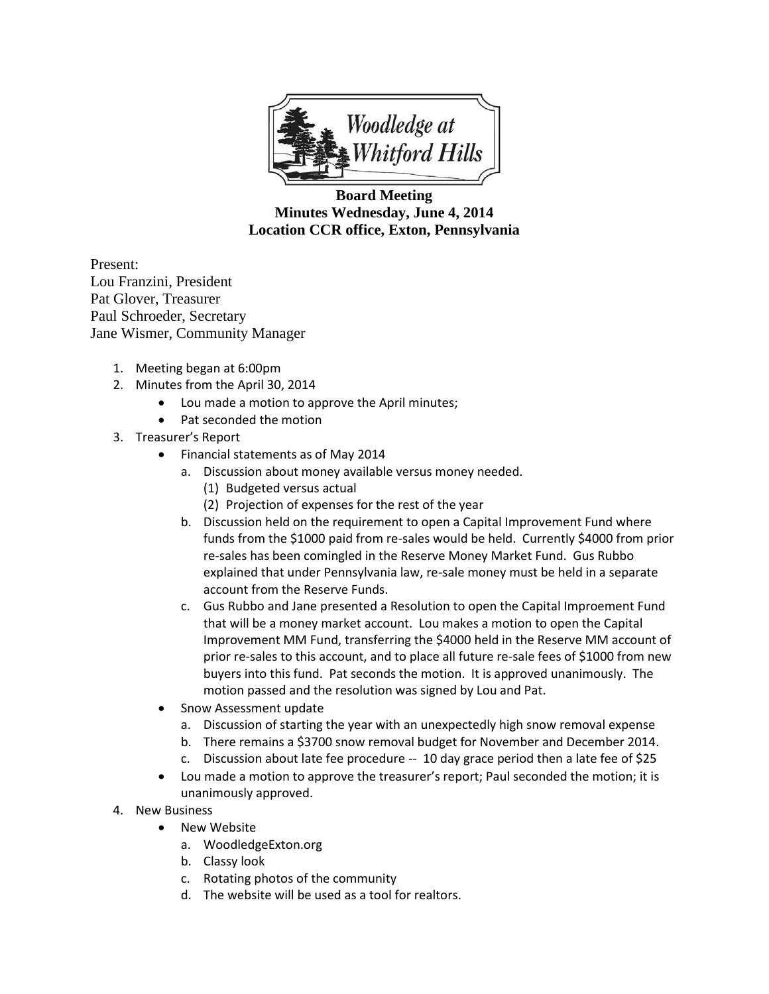

**Board Meeting Minutes Wednesday, June 4, 2014 Location CCR office, Exton, Pennsylvania**

Present: Lou Franzini, President Pat Glover, Treasurer Paul Schroeder, Secretary Jane Wismer, Community Manager

- 1. Meeting began at 6:00pm
- 2. Minutes from the April 30, 2014
	- Lou made a motion to approve the April minutes;
	- Pat seconded the motion
- 3. Treasurer's Report
	- Financial statements as of May 2014
		- a. Discussion about money available versus money needed.
			- (1) Budgeted versus actual
			- (2) Projection of expenses for the rest of the year
		- b. Discussion held on the requirement to open a Capital Improvement Fund where funds from the \$1000 paid from re-sales would be held. Currently \$4000 from prior re-sales has been comingled in the Reserve Money Market Fund. Gus Rubbo explained that under Pennsylvania law, re-sale money must be held in a separate account from the Reserve Funds.
		- c. Gus Rubbo and Jane presented a Resolution to open the Capital Improement Fund that will be a money market account. Lou makes a motion to open the Capital Improvement MM Fund, transferring the \$4000 held in the Reserve MM account of prior re-sales to this account, and to place all future re-sale fees of \$1000 from new buyers into this fund. Pat seconds the motion. It is approved unanimously. The motion passed and the resolution was signed by Lou and Pat.
	- Snow Assessment update
		- a. Discussion of starting the year with an unexpectedly high snow removal expense
		- b. There remains a \$3700 snow removal budget for November and December 2014.
		- c. Discussion about late fee procedure -- 10 day grace period then a late fee of \$25
	- Lou made a motion to approve the treasurer's report; Paul seconded the motion; it is unanimously approved.
- 4. New Business
	- New Website
		- a. WoodledgeExton.org
		- b. Classy look
		- c. Rotating photos of the community
		- d. The website will be used as a tool for realtors.